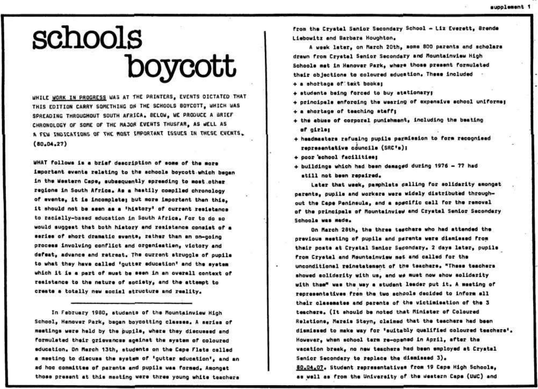## schools boycott

WHILE WORK IN PROGRESS WAS AT THE PRINTERS, EVENTS DICTATED THAT THIS EDITION CARRY SOMETHING ON THE SCHOOLS BOYCOTT, WHICH WAS SPREADING THROUGHOUT SOUTH AFRICA. BELOW, WE PRODUCE A BRIEF CHRONOLOGY OF SOME OF THE MAJOR EVENTS THUSFAR, AS WELL AS A FEW INDICATIONS OF THE MOST IMPORTANT ISSUES IN THESE EVENTS.  $(80, 04, 27)$ 

WHAT follows is a brief description of some of the more important events relating to the schools boycott which began in the Western Cape, subsequently spreading to most other regions in South Africa. As a hastily compiled chronology of events, it is incomplete; but more important than this. it should not be seen as a 'history' of current resistance to racially-based education in South Africa. For to do so would suggest that both history and resistance consist of a series of short dramatic svents, rather than an on-going process involving conflict and organisation, victory and defeat, advance and ratreat. The current struggle of pupils to what they have called 'qutter education' and the system which it is a part of must be seen in an overall context of resistance to the nature of society, and the attempt to create a totally new social atructure and reality.

In February 1980, students of the Mountainview High School, Hanover Park, bagan boycotting classes. A serias of meetings were held by the pupils, where they discussed and formulated their grievances against the system of coloured education, On March 13th, students on the Cape Flats called a meeting to discuss the system of 'qutter education', and an ad hoc committee of parents and pupils was formed. Amongat those present at this maeting were three young white teachers

from the Crystel Sanior Secondary School - Liz Everett, Brende Liebowitz and Barbara Houghton.

A week later, on March 20th, some 800 parents and scholars drawn from Crystal Senior Secondary and Mountainview High Schools mat in Hanover Park, where those present formulated their objections to coloured education. These included .

- + a shortaga of text books;
- + students being forced to buy stationary;
- + principals enforcing the wearing of expensive school uniforms;
- + a shortage of teaching staff;
- + the abuse of corporal punishment, including the beating of cirle:
- + headmasters refusing pupils permission to form recognised representative councile (SRC\*s);
- + poor echool facilities;
- + buildings which had been damaged during 1976 77 had still not been repaired.

Later that week, pamphlats calling for solidarity amongst parents, pupils and workers were widely distributed throughout the Cape Peninsula, and a specific call for the removal of the principals of Mountainview and Crystal Senior Secondary Schools was made.

On March 28th, the three teschers who had attended the previous meeting of pupils and parents were diamissed from their poste at Crystal Senior Secondary, 2 days later, pupile from Crystal and Mountainview met and called for the unconditional reinstatement of the teachers, "These teachers showed solidarity with us, and we must now show solidarity with them" was the way a student leader put it. A meeting of representatives from the two schools decided to inform all their classmates and parents of the victimisation of the 3 teachers. (It should be noted that Minister of Coloured Relations, Marais Steyn, claimed that the teachers had been diamissed to make way for 'suitably qualified coloured teachers'. However, when school term re-opened in April, after the vacation breek, no new teachers had been employed at Crystal Senior Secondary to replace the diamissed 3). 80.04.07. Student representatives from 19 Cape High Schoole. as well as from the University of the Western Cape (UWC) and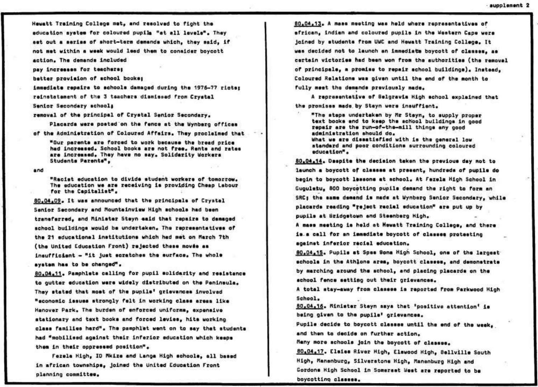**Hawatt Training Collaga mat\* and raaolvad to fight tha aducation ayataa for coloutad pupila "at al l 1avail" . Thay**  aat out a sarias of short-term demands which, they said, if **not mat within a waak would laad tha\* to conaidar boycott action . Tha daaanda includad** 

**pay incraaaaa for taaoharaf** 

**battar provlalon of achool booka,** 

**iaaadiat a rapaira to achoola danagad during tha 1976-77 riotaf ralnatataaant of tha 3 taachara diaalaaad fron Cryatal** 

**Sanlor Sacondary achooli** 

**ranoval of tha principal of Cryatal Sanlor Sacondary.** 

**Plaoarda wara poatad on tha fanca at tha Uynbarg offioaa of tha Adainlatratlon of Coloured Affalra\* Thay proclalnad that** 

**"Our paranta ara forcod to work bacauaa tha braad prica**  had increased. School books are not free. Rents and rates are increased. They have no say. Solidarity Workers **Studanta Paranta\*\*** 

**and** 

**•Raoiat aducation to divlda atudant workara of tomorrow. Tha aducation wa ara racalvlng l a providing Chaap Labour for tha Capitalist" .** 

**80\*0\*\*09. I t waa announced that tha prlncipal a of Cryatal**  Sanior Secondary and Mountainview High achools had been **tranefarradv and Pliniatar Stayn «aid that rapaire to daugad**  achool buildings would be undertaken. The rapresentatives of **tha 21 aducatlonal inatltution a which had aat on March 7th**  (the United Education Front) rejected these moves as **inauffician t - "i t juat aoratohaa tha aurfaoa\* Tha whola**  ayatam has to be changed".

**80.04.11. Pamphlets calling for pupil solidarity and resistance** to gutter education were widely distributed on the Peninsula. **Thay atatad that aoat of tha pupila\* grlavancaa involvad "aconoalo iaauoa atrongly fai t i n working olaaa araaa Ilka**  Hanover Park. The burden of enforced uniforms, expensive **atatlonary and taxt booka and foroad laviaav hlt a working elaaa fa mi 11 aa hard™\* Tha paaphlat want on to aay that atudanta had "itobiliaad agalnat thair infarlo r aducation which kaapa thin i n thalr oppraaaad pooition" .** 

**Fazala High. 10 Hkli a and Langa High achoola. al l baaad**  in african townships, joined the United Education Front **planning conalttaa\*** 

**B0.04.13\* A maaa maating waa hold whara rapraaantativaa of**  african, indian and coloured pupils in the Wastern Cape were **jolnad by atudanta froa UWC and Hawatt Training Collaga\* I t**  was decided not to launch an immediate boycott of classes, as **cartaln victorlaa had baan won from tha authorltlaa (tha raaoual of prlncipala^ a proalaa to rapair achool bulldinga)\* lnataad<sup>v</sup> Colourad Ralationa waa givon until tha and of tha aonth to full y aoat tha daaanda pravioualy aada<sup>a</sup>**

**A rapraaantatlva of Salgravla High achool axpiainad that**  the promises made by Stayn were insuffient.

**"Thu atapa undartakan by nr stayn, to aupply propar taxt booka and to kaap tha achool bulldinga in good rapair ara tha run-of-tha-aill thinga any good adainlatratio n ahould do.**  What we are dissatisfied with is the general low **atandard and poor conditiona aurrounding colourad aducation\*\*** 

**60,04\*14\* Daaplta tha dacialon takan tha pravloua day not to**  launch a boycott of classes at prasent, hundreds of pupile do **bagln to boycott ltaaono at achool. At Foxala High School in Gugulatu, 800 boycotting pupils demand the right to form an** SRC; the same demand is mada at Wynbarg Senior Secondary, while **plaoarda raadlng "rejact racial aducation" ara put up by**  pupils at Bridgetown and Staenberg High.

**A aaaa aaatlng l a hold at Hawatt Training Collaga, and thara l a a call for an iaaadlat a boyoott of olaaaaa protaating agalnat infarlo r raolal aduoation.** 

**50.04.15. Pupila at Spaa 9ona High School\* ona of tha largaat achoola i n tha Athjona araa\* boycott claaaaa\* and daaonatrata by aarchlng around tha achool\* and placing placarda on tha achool fanca aattiag out thair grlavaneaa\*** 

A total stay-away from classes is raported from Parkwood High School.

**50.04.16. fliniatar Stayn aaya that \*poaltlua attantlon <sup>1</sup> l a being glvan to tha pupila\* grlavancaa.** 

Pupila decide to boycott classes until the end of the week, and then to decide on further action.

Many more achools join the boycott of classes.

 $60*04*17$ . Elaias River High, Elswood High, Ballville South High, Mananburg, Silveratona High, Mananburg High and **Cordona High School in Scaaraat bfaat ara raportad to ba boycotting claaaaa\***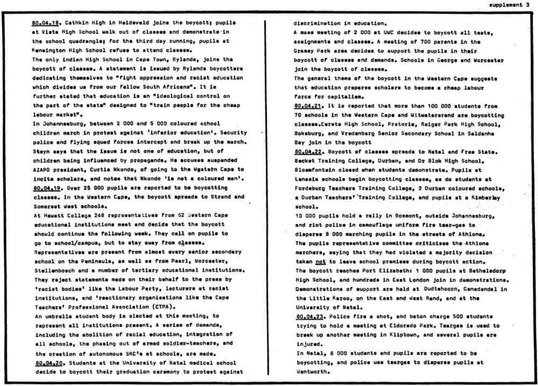**00.04,IB . Catnkln High in Heldeveld join t the boycott) pupila**  at Vista High School walk out of classes and demonstrate in the school quadrangle; for the third day running, pupils at **Kanalngton High School rafuaa to attend claeeee.** 

The only indian High School in Capa Town, Rylands, joins the **boycott of claeaao. A stateasnt l a laauad by Rylanda boycottara dadicatlng theaeelvee to "figh t oppraaaion and xaciat aducation**  which divides us from our fallow South Africans". It is **furthar atatad that aducation l a an "ideological control on tha part of tha etete" daalgnad to "trai n paopla for tha chaap**  labour market".

**I n Johanneeburg, between 2 000 and 5 000 colourad school chlldran aeroh In protaat agalnat 'inrarlo r aducation\*. Security pollca and flyin g squad forcaa lntarcap t and break up tha aarch. Steyn aaye that tha laaua l a not one of education, but of**  children being influenced by propaganda. He accuses suspended AZAPO president, Curtis Nkondo, of going to the Wastern Cape to **Incite scholars, and notes that Nkondo 'is not a coloured man', 80,04.19, Over 25 000 pupila are reported to be boycotting classes. In the weetern Cape, the boycott epreada to Strand and Sonaraat uloet schools.** 

**At Hewatt College 246 repreeentativee froa 62 Jeetorn Cape educational institution s aeet and decide that tha boycott should continue the following week. They cell on puplle to go to school/campus, but to stay away froa c^aeaea\* Roproaantatlvee are praaant froa alaoat every aanlor aecondery school on the Penlneulo, aa wall ae froa Pearl, vorcoatsr,**  Stellenboach and a number of tertiary educational institutions. **They reject etateaante nade on their behalf to the preee by 'racist bodies' like the Labour Party, lecturers at racist** institutions, and 'reactionary organisations like the Capa **Teechere\* Profeosional Association (CTPA).**  An umbrella atudent body is elected at this meeting, to

represent all institutions present. A saries of demands, **including the abolition of racial education. Integration of a l l achoole, the phaalng out of armed soldier-teachere, and tha creation of autonoaous SRC\*e et schools, are aado. 60,04.20. Students at the Unlveraity of ttatal aedlcel school decide to boycott their graduation ceronony to protest against**  discrimination in education.

**A aaaa aaeting of 2 000 at UWC decldee to boycott al l taate, eaaignaanta and cissies. A Meeting of 700 parante in the**  Grassy Park area decides to support the pupils in their **boycott of cleaaaa and deaendo. Schools In George end Worcester Join the boycott of cleseeo.** 

**The generel theae of the boycott in the Western Cape euggeete that education praparee acholere to becoae a cheep labour**  force for capitalism.

**80.04.21. I t i s reported that aore than 100 000 atudanta froa 70 eohoole In the tfeatern Cape and Witwetererend ere boycotting classes.Cerste High School, Pretoria, Reiger Perk High School, Bokaburg, and Vredenbarg Senior Sscondery School in Saldanha Bay Join in the boycott** 

**80.04.22. Boycott of claaeee epreede to Natal and Tree 5tste\* Backet Training College, Durben, and Or Blok High School<sup>f</sup> Bloaafontein cloeed when etudente deaonatrate. Pupila et Lenaale achoole begin boycotting oleeaee, ee do etudente at**  Fordaburg Teachars Training College, 2 Durban coloured schoole, **a Durban Teachere\* 'Training Collage, end puplle at a Kiaborley school,** 

**10 000 pupils hold a rally in Bosmont, outside Johannesburg,** and riot police in camouflage uniform fire tear-gas to **dleperae B 000 aarohing pupila i n the etraeta of Athlona. The puplle reproeentatlve coaalttee orltlcleee the Athlone aarchora, eeylng that they had violated e majority daclelon taken not to leave echool promisee during boycott action\* Tha boycott reachae Port Clizabethi 1 000 pupila at Batheledorp High School, end hundreds I n Csst London join in deeonstretlono\* Demonatrations of eupport are held at Oudtshoorn, Genadendal in** the Little Karoo, on the East and west Rand, and at the **Unlverelty of Natal.** 

**60.04,23. Police fir e e shot, end baton charge 500 etudente**  trying to hold a meeting at Eldorado Park. Teargas is used to breek up another meeting in Kliptown, and several pupils are **Injured .** 

**In Natal, 6 000 etudente end puplle are reported to be boycotting, end police uae teargaa to dleperee puplle at**   $W$ **u**entworth.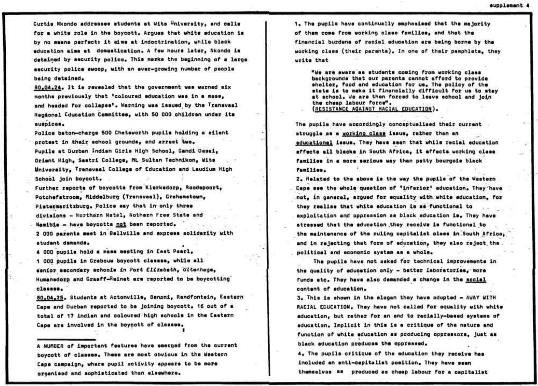Curtie Nkondo addresses students at Wite University, and calle for a white role in the boycott. Arques that white aducation is by no means parfect: it aims at indoctrination, while black education aime at domestication. A few hours later, Nkondo is detained by security police. This marks the beginning of a large ascurity police swoop, with an ever-growing number of people being detained.

80.04.24. It is revealed that the covernment was warned six months previously that 'coloured education was in a mess. and headed for collapse'. Warning was issued by the Transvaal Reodonal Education Committes, with 50 000 children under its auspices.

Police baton-charge 500 Chataworth pupils holding a silent orotest in their school grounds, and arrest two. Pupile at Durban Indian Girls High School, Gandi Desai, Orient High, Sastri College, ML Sultan Technikon, Wits University, Transveal College of Education and Laudium High School join boycott.

Further reports of boycotts from Klerksdorp, Roodepoort, Potchefatroom, Middelburg (Transvaal), Grahamstown, Pietermaritzburg, Police say that in only three divisions - Northern Natal, Nothern Free State and Namible - have boycotts not been reported. 2 000 parants meet in Bellville and express soliderity with

## student demands.

4 000 pupils hold a mass meeting in East Pearl, 1 000 pupils in Grabouw boycott classes, while all senior secondary echools in Port Elizabeth, Ultenhage, Humanadorp and Graaff-Reinet are reported to be boycotting classes.

80,04,25. Students at Actonville, Benoni, Randfontein, Eastern Cape and Durban reported to be joining boycott. 16 out of a total of 17 indian and coloured high schools in the Eastern Cape are involved in the boycott of classes.

A NUMBER of important features have smerged from the current boycott of classes. These are most obvious in the Western Cape campaign, where pupil activity appears to be more organised and sophisticated than slsewhere.

1. The oucils have continually emphasised that the majority of them come from working class families, and that the financial burdens of racial education are being borne by the working class (their parents). In one of their pamphlets, they write that

"We are aware as students coming from working class backgrounds that our parents cannot afford to provide shelter, food and education for us. The policy of the state is to make it financially difficult for us to stay at school, We are then forced to leave school and join the cheap labour force". (RESISTANCE AGAINST RACIAL EDUCATION).

The pupils have accordingly conceptualised their current struggle as a working class issue, rather than an educational issue. They have seen that while recial education sffects all blacks in South Africa. it effects working class families in a more sarious way than patty bourgois black families.

2. Related to the above is the way the pupils of the Western Cape see the whole question of 'inferior' education, They have not, in general, aroued for equality with white education, for they realise that white education is as functional to exploitation and oppression as black education is. They have atressed that the education they receive is functional to the maintenance of the ruling capitalist class in South Africa. and in rejecting that form of education, they also reject the. political and economic system as a whole.

The pupils have not asked for technical improvements in the quality of education only - better laboratories, more funds stc. They have also demanded a change in the social content of education.

3. This is shown in the slooan they have adopted - AWAY WITH RACIAL EDUCATION, They have not called for equality with white education, but rather for an end to racially-based systems of education. Implicit in this is a critique of the nature and function of white education as producing oppressors, just as black education produces the oppressed.

4. The pupils critique of the education they receive has included an anti-capitalist position, They have seen themselves as produced as cheap labour for a capitalist